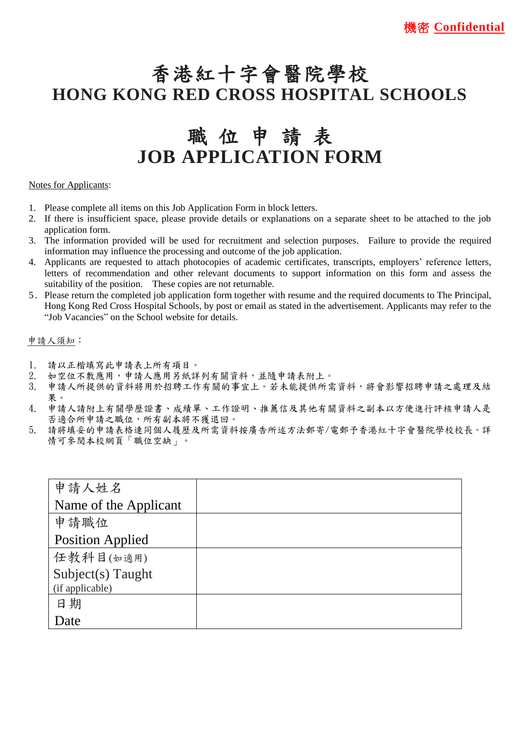# 香港紅十字會醫院學校 **HONG KONG RED CROSS HOSPITAL SCHOOLS**

# 職 位 申 請 表 **JOB APPLICATION FORM**

## Notes for Applicants:

- 1. Please complete all items on this Job Application Form in block letters.
- 2. If there is insufficient space, please provide details or explanations on a separate sheet to be attached to the job application form.
- 3. The information provided will be used for recruitment and selection purposes. Failure to provide the required information may influence the processing and outcome of the job application.
- 4. Applicants are requested to attach photocopies of academic certificates, transcripts, employers' reference letters, letters of recommendation and other relevant documents to support information on this form and assess the suitability of the position. These copies are not returnable.
- 5 . Please return the completed job application form together with resume and the required documents to The Principal, Hong Kong Red Cross Hospital Schools, by post or email as stated in the advertisement. Applicants may refer to the "Job Vacancies" on the School website for details.

### 申請人須知:

- 1. 請以正楷填寫此申請表上所有項目。<br>2. 如空位不敷應用,申請人應用另紙詞
- 如空位不敷應用,申請人應用另紙詳列有關資料,並隨申請表附上。
- 3. 申請人所提供的資料將用於招聘工作有關的事宜上。若未能提供所需資料,將會影響招聘申請之處理及結 果。
- 4. 申請人請附上有關學歷證書、成績單、工作證明、推薦信及其他有關資料之副本以方便進行評核申請人是 否適合所申請之職位,所有副本將不獲退回。
- 5. 請將填妥的申請表格連同個人履歷及所需資料按廣告所述方法郵寄/電郵予香港紅十字會醫院學校校長。詳 情可參閱本校網頁「職位空缺」。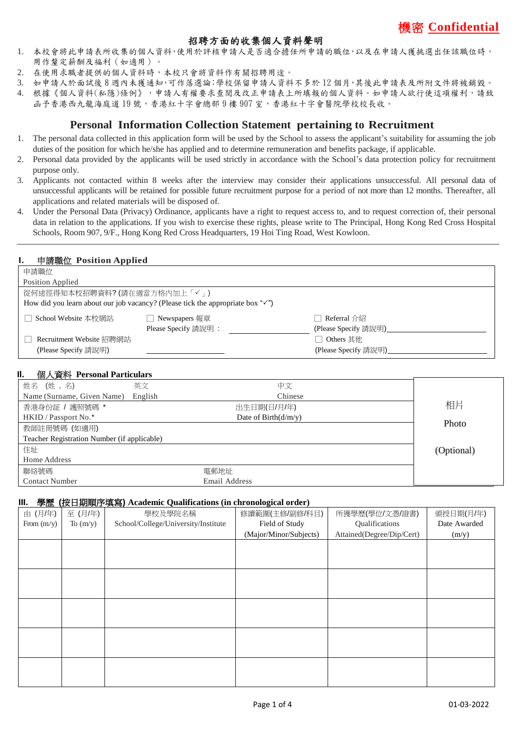# 機密 **Confidential**

# 招聘方面的收集個人資料聲明

- 1. 本校會將此申請表所收集的個人資料,使用於評核申請人是否適合擔任所申請的職位,以及在申請人獲挑選出任該職位時, 用作釐定薪酬及福利(如適用)。
- 2. 在使用求職者提供的個人資料時,本校只會將資料作有關招聘用途。
- 3. 如申請人於面詴後 8 週內未獲通知,可作落選論;學校保留申請人資料不多於 12 個月,其後此申請表及所附文件將被銷毀。
- 4. 根據《個人資料(私隱)條例》,申請人有權要求查閱及改正申請表上所填報的個人資料。如申請人欲行使這項權利,請致 函予香港西九龍海庭道 19 號,香港紅十字會總部 9 樓 907 室,香港紅十字會醫院學校校長收。

# **Personal Information Collection Statement pertaining to Recruitment**

- 1. The personal data collected in this application form will be used by the School to assess the applicant's suitability for assuming the job duties of the position for which he/she has applied and to determine remuneration and benefits package, if applicable.
- 2. Personal data provided by the applicants will be used strictly in accordance with the School's data protection policy for recruitment purpose only.
- 3. Applicants not contacted within 8 weeks after the interview may consider their applications unsuccessful. All personal data of unsuccessful applicants will be retained for possible future recruitment purpose for a period of not more than 12 months. Thereafter, all applications and related materials will be disposed of.
- 4. Under the Personal Data (Privacy) Ordinance, applicants have a right to request access to, and to request correction of, their personal data in relation to the applications. If you wish to exercise these rights, please write to The Principal, Hong Kong Red Cross Hospital Schools, Room 907, 9/F., Hong Kong Red Cross Headquarters, 19 Hoi Ting Road, West Kowloon.  $\overline{a}$

#### **I.** 申請職位 **Position Applied**

| 申請職位                                  |                                                                                             |                                   |  |
|---------------------------------------|---------------------------------------------------------------------------------------------|-----------------------------------|--|
| Position Applied                      |                                                                                             |                                   |  |
| 從何途徑得知本校招聘資料? (請在適當方格內加上「√」)          |                                                                                             |                                   |  |
|                                       | How did you learn about our job vacancy? (Please tick the appropriate box " $\checkmark$ ") |                                   |  |
| School Website 本校網站                   | □ Newspapers 報章                                                                             | Referral $\triangle$ $\mathbb{Z}$ |  |
|                                       | Please Specify 請說明:                                                                         | (Please Specify 請說明)              |  |
| Recruitment Website 招聘網站<br>Others 其他 |                                                                                             |                                   |  |
| (Please Specify 請說明)                  |                                                                                             | (Please Specify 請說明)              |  |

#### **Il.** 個人資料 **Personal Particulars**

| $127 \sqrt{23}$ $12.220$ $12.220$           |         |                                |            |
|---------------------------------------------|---------|--------------------------------|------------|
| 姓名 (姓,名)                                    | 英文      | 中文                             |            |
| Name (Surname, Given Name)                  | English | Chinese                        |            |
| 香港身份証 / 護照號碼 *                              |         | 出生日期(日/月/年)                    | 相片         |
| HKID / Passport No.*                        |         | Date of Birth $\frac{d}{m}{v}$ |            |
| 教師註冊號碼 (如適用)                                |         |                                | Photo      |
| Teacher Registration Number (if applicable) |         |                                |            |
| 住址                                          |         |                                | (Optional) |
| Home Address                                |         |                                |            |
| 聯絡號碼                                        |         | 電郵地址                           |            |
| <b>Contact Number</b>                       |         | Email Address                  |            |

#### **III.** 學歷 **(**按日期順序填寫**) Academic Qualifications (in chronological order)**

| 由 (月/年)      | 至 (月/年)    | 學校及學院名稱                             | 修讀範圍(主修/副修/科目)         | 所獲學歷(學位/文憑/證書)            | 頒授日期(月/年)    |
|--------------|------------|-------------------------------------|------------------------|---------------------------|--------------|
| From $(m/y)$ | To $(m/y)$ | School/College/University/Institute | Field of Study         | Qualifications            | Date Awarded |
|              |            |                                     | (Major/Minor/Subjects) | Attained(Degree/Dip/Cert) | (m/y)        |
|              |            |                                     |                        |                           |              |
|              |            |                                     |                        |                           |              |
|              |            |                                     |                        |                           |              |
|              |            |                                     |                        |                           |              |
|              |            |                                     |                        |                           |              |
|              |            |                                     |                        |                           |              |
|              |            |                                     |                        |                           |              |
|              |            |                                     |                        |                           |              |
|              |            |                                     |                        |                           |              |
|              |            |                                     |                        |                           |              |
|              |            |                                     |                        |                           |              |
|              |            |                                     |                        |                           |              |
|              |            |                                     |                        |                           |              |
|              |            |                                     |                        |                           |              |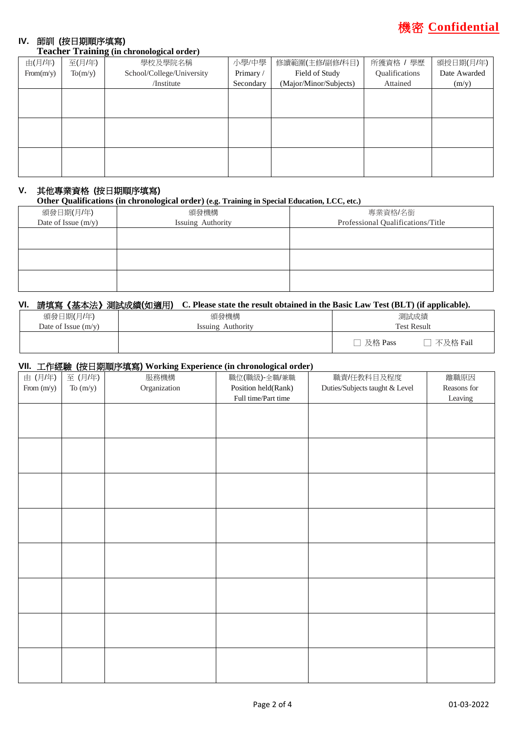

# **IV.** 師訓 **(**按日期順序填寫**)**

#### **Teacher Training (in chronological order)**

| 由(月/年)    | 至(月/年)  | 學校及學院名稱                   | 小學/中學     | 修讀範圍(主修/副修/科目)         | 所獲資格 / 學歷      | 頒授日期(月/年)    |
|-----------|---------|---------------------------|-----------|------------------------|----------------|--------------|
| From(m/v) | To(m/y) | School/College/University | Primary/  | Field of Study         | Qualifications | Date Awarded |
|           |         | /Institute                | Secondary | (Major/Minor/Subjects) | Attained       | (m/y)        |
|           |         |                           |           |                        |                |              |
|           |         |                           |           |                        |                |              |
|           |         |                           |           |                        |                |              |
|           |         |                           |           |                        |                |              |
|           |         |                           |           |                        |                |              |
|           |         |                           |           |                        |                |              |
|           |         |                           |           |                        |                |              |
|           |         |                           |           |                        |                |              |
|           |         |                           |           |                        |                |              |

## **V.** 其他專業資格 **(**按日期順序填寫**)**

**Other Qualifications (in chronological order) (e.g. Training in Special Education, LCC, etc.)**

| 頒發日期(月/年)           | 頒發機構              | 專業資格/名銜                           |
|---------------------|-------------------|-----------------------------------|
| Date of Issue (m/y) | Issuing Authority | Professional Qualifications/Title |
|                     |                   |                                   |
|                     |                   |                                   |
|                     |                   |                                   |
|                     |                   |                                   |
|                     |                   |                                   |
|                     |                   |                                   |

### **VI.** 請填寫《基本法》測試成績**(**如適用**) C. Please state the result obtained in the Basic Law Test (BLT) (if applicable).**

| 頒發日期(月/年)             | 頒發機構                        | 測試成績                |  |
|-----------------------|-----------------------------|---------------------|--|
| Date of Issue $(m/v)$ | Authority<br><i>issuing</i> | <b>Test Result</b>  |  |
|                       |                             | 不及格 Fail<br>及格 Pass |  |

#### **VII.** 工作經驗 **(**按日期順序填寫**) Working Experience (in chronological order)**

| ---<br>由 (月/年) | 至(月/年)     | $\frac{1}{2}$ $\frac{1}{2}$ $\frac{1}{2}$ $\frac{1}{2}$ $\frac{1}{2}$ $\frac{1}{2}$ $\frac{1}{2}$ $\frac{1}{2}$ $\frac{1}{2}$ $\frac{1}{2}$ $\frac{1}{2}$ $\frac{1}{2}$ $\frac{1}{2}$ $\frac{1}{2}$ $\frac{1}{2}$ $\frac{1}{2}$ $\frac{1}{2}$ $\frac{1}{2}$ $\frac{1}{2}$ $\frac{1}{2}$ $\frac{1}{2}$ $\frac{1}{2}$<br>服務機構 | 職位(職級)-全職/兼職        | 職責/任教科目及程度                     | 離職原因        |
|----------------|------------|-----------------------------------------------------------------------------------------------------------------------------------------------------------------------------------------------------------------------------------------------------------------------------------------------------------------------------|---------------------|--------------------------------|-------------|
| From $(m/y)$   | To $(m/y)$ | Organization                                                                                                                                                                                                                                                                                                                | Position held(Rank) | Duties/Subjects taught & Level | Reasons for |
|                |            |                                                                                                                                                                                                                                                                                                                             | Full time/Part time |                                | Leaving     |
|                |            |                                                                                                                                                                                                                                                                                                                             |                     |                                |             |
|                |            |                                                                                                                                                                                                                                                                                                                             |                     |                                |             |
|                |            |                                                                                                                                                                                                                                                                                                                             |                     |                                |             |
|                |            |                                                                                                                                                                                                                                                                                                                             |                     |                                |             |
|                |            |                                                                                                                                                                                                                                                                                                                             |                     |                                |             |
|                |            |                                                                                                                                                                                                                                                                                                                             |                     |                                |             |
|                |            |                                                                                                                                                                                                                                                                                                                             |                     |                                |             |
|                |            |                                                                                                                                                                                                                                                                                                                             |                     |                                |             |
|                |            |                                                                                                                                                                                                                                                                                                                             |                     |                                |             |
|                |            |                                                                                                                                                                                                                                                                                                                             |                     |                                |             |
|                |            |                                                                                                                                                                                                                                                                                                                             |                     |                                |             |
|                |            |                                                                                                                                                                                                                                                                                                                             |                     |                                |             |
|                |            |                                                                                                                                                                                                                                                                                                                             |                     |                                |             |
|                |            |                                                                                                                                                                                                                                                                                                                             |                     |                                |             |
|                |            |                                                                                                                                                                                                                                                                                                                             |                     |                                |             |
|                |            |                                                                                                                                                                                                                                                                                                                             |                     |                                |             |
|                |            |                                                                                                                                                                                                                                                                                                                             |                     |                                |             |
|                |            |                                                                                                                                                                                                                                                                                                                             |                     |                                |             |
|                |            |                                                                                                                                                                                                                                                                                                                             |                     |                                |             |
|                |            |                                                                                                                                                                                                                                                                                                                             |                     |                                |             |
|                |            |                                                                                                                                                                                                                                                                                                                             |                     |                                |             |
|                |            |                                                                                                                                                                                                                                                                                                                             |                     |                                |             |
|                |            |                                                                                                                                                                                                                                                                                                                             |                     |                                |             |
|                |            |                                                                                                                                                                                                                                                                                                                             |                     |                                |             |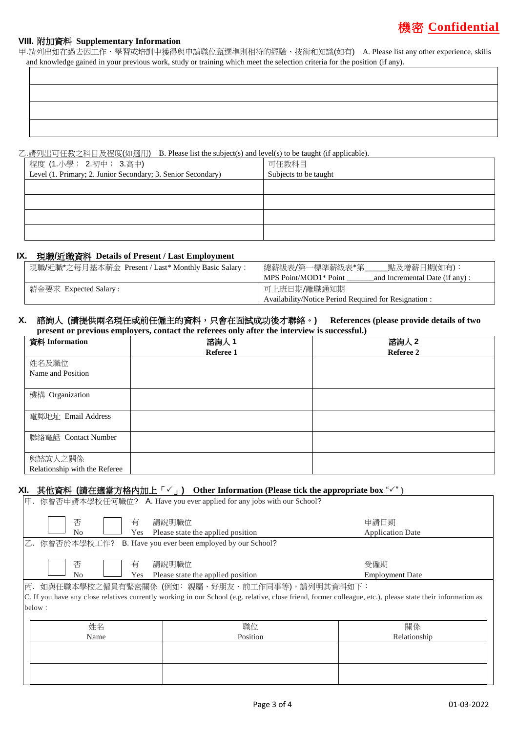# 機密 **Confidential**

#### **VIII.** 附加資料 **Supplementary Information**

甲.請列出如在過去因工作、學習或培訓中獲得與申請職位甄選準則相符的經驗、技術和知識(如有) A. Please list any other experience, skills and knowledge gained in your previous work, study or training which meet the selection criteria for the position (if any).

乙.請列出可任教之科目及程度(如適用) B. Please list the subject(s) and level(s) to be taught (if applicable).

| 程度 (1.小學; 2.初中; 3.高中)                                        | 可任教科目                 |
|--------------------------------------------------------------|-----------------------|
| Level (1. Primary; 2. Junior Secondary; 3. Senior Secondary) | Subjects to be taught |
|                                                              |                       |
|                                                              |                       |
|                                                              |                       |
|                                                              |                       |

#### **IX.** 現職**/**近職資料 **Details of Present / Last Employment**

| 現職/近職*之每月基本薪金 Present / Last* Monthly Basic Salary: | 點及增薪日期(如有):<br>總薪級表/第一標準薪級表*第_                          |
|-----------------------------------------------------|---------------------------------------------------------|
|                                                     | MPS Point/MOD1* Point<br>and Incremental Date (if any): |
| 薪金要求 Expected Salary :                              | 可上班日期/離職通知期                                             |
|                                                     | Availability/Notice Period Required for Resignation:    |

#### **X.** 諮詢人 **(**請提供兩名現任或前任僱主的資料,只會在面試成功後才聯絡。**) References (please provide details of two present or previous employers, contact the referees only after the interview is successful.)**

| 資料 Information                | 諮詢人 1     | 諮詢人 2     |
|-------------------------------|-----------|-----------|
|                               | Referee 1 | Referee 2 |
| 姓名及職位                         |           |           |
| Name and Position             |           |           |
|                               |           |           |
| 機構 Organization               |           |           |
|                               |           |           |
| 電郵地址 Email Address            |           |           |
|                               |           |           |
| 聯絡電話 Contact Number           |           |           |
|                               |           |           |
| 與諮詢人之關係                       |           |           |
| Relationship with the Referee |           |           |

## **XI.** 其他資料 (請在適當方格內加上「✓」) Other Information (Please tick the appropriate box "✓")

| 甲. 你曾否申請本學校任何職位? A. Have you ever applied for any jobs with our School?                                                                                                                                                 |                                            |                                 |  |  |
|-------------------------------------------------------------------------------------------------------------------------------------------------------------------------------------------------------------------------|--------------------------------------------|---------------------------------|--|--|
| 否<br>有<br>No<br>Yes                                                                                                                                                                                                     | 請說明職位<br>Please state the applied position | 申請日期<br><b>Application Date</b> |  |  |
| 乙. 你曾否於本學校工作? B. Have you ever been employed by our School?                                                                                                                                                             |                                            |                                 |  |  |
| 否<br>有<br>No<br>Yes                                                                                                                                                                                                     | 請說明職位<br>Please state the applied position | 受僱期<br><b>Employment Date</b>   |  |  |
| 丙.如與任職本學校之僱員有緊密關係 (例如:親屬、好朋友、前工作同事等),請列明其資料如下:<br>C. If you have any close relatives currently working in our School (e.g. relative, close friend, former colleague, etc.), please state their information as<br>below: |                                            |                                 |  |  |
| 姓名<br>Name                                                                                                                                                                                                              | 職位<br>Position                             | 關係<br>Relationship              |  |  |
|                                                                                                                                                                                                                         |                                            |                                 |  |  |